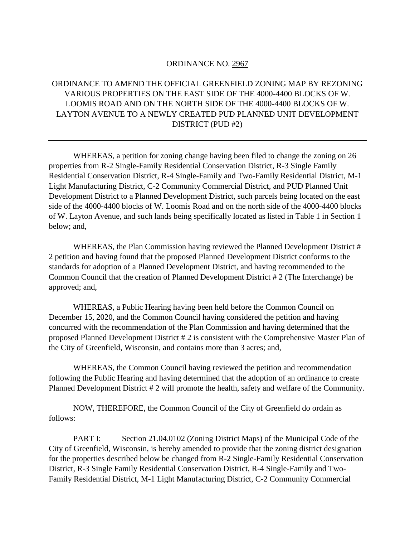## ORDINANCE NO. 2967

## ORDINANCE TO AMEND THE OFFICIAL GREENFIELD ZONING MAP BY REZONING VARIOUS PROPERTIES ON THE EAST SIDE OF THE 4000-4400 BLOCKS OF W. LOOMIS ROAD AND ON THE NORTH SIDE OF THE 4000-4400 BLOCKS OF W. LAYTON AVENUE TO A NEWLY CREATED PUD PLANNED UNIT DEVELOPMENT DISTRICT (PUD #2)

WHEREAS, a petition for zoning change having been filed to change the zoning on 26 properties from R-2 Single-Family Residential Conservation District, R-3 Single Family Residential Conservation District, R-4 Single-Family and Two-Family Residential District, M-1 Light Manufacturing District, C-2 Community Commercial District, and PUD Planned Unit Development District to a Planned Development District, such parcels being located on the east side of the 4000-4400 blocks of W. Loomis Road and on the north side of the 4000-4400 blocks of W. Layton Avenue, and such lands being specifically located as listed in Table 1 in Section 1 below; and,

WHEREAS, the Plan Commission having reviewed the Planned Development District # 2 petition and having found that the proposed Planned Development District conforms to the standards for adoption of a Planned Development District, and having recommended to the Common Council that the creation of Planned Development District # 2 (The Interchange) be approved; and,

WHEREAS, a Public Hearing having been held before the Common Council on December 15, 2020, and the Common Council having considered the petition and having concurred with the recommendation of the Plan Commission and having determined that the proposed Planned Development District # 2 is consistent with the Comprehensive Master Plan of the City of Greenfield, Wisconsin, and contains more than 3 acres; and,

WHEREAS, the Common Council having reviewed the petition and recommendation following the Public Hearing and having determined that the adoption of an ordinance to create Planned Development District # 2 will promote the health, safety and welfare of the Community.

NOW, THEREFORE, the Common Council of the City of Greenfield do ordain as follows:

PART I: Section 21.04.0102 (Zoning District Maps) of the Municipal Code of the City of Greenfield, Wisconsin, is hereby amended to provide that the zoning district designation for the properties described below be changed from R-2 Single-Family Residential Conservation District, R-3 Single Family Residential Conservation District, R-4 Single-Family and Two-Family Residential District, M-1 Light Manufacturing District, C-2 Community Commercial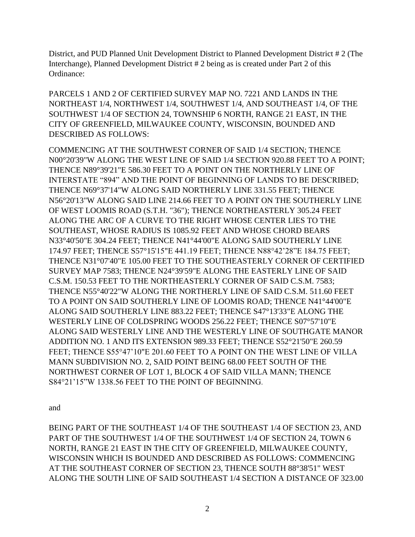District, and PUD Planned Unit Development District to Planned Development District # 2 (The Interchange), Planned Development District # 2 being as is created under Part 2 of this Ordinance:

PARCELS 1 AND 2 OF CERTIFIED SURVEY MAP NO. 7221 AND LANDS IN THE NORTHEAST 1/4, NORTHWEST 1/4, SOUTHWEST 1/4, AND SOUTHEAST 1/4, OF THE SOUTHWEST 1/4 OF SECTION 24, TOWNSHIP 6 NORTH, RANGE 21 EAST, IN THE CITY OF GREENFIELD, MILWAUKEE COUNTY, WISCONSIN, BOUNDED AND DESCRIBED AS FOLLOWS:

COMMENCING AT THE SOUTHWEST CORNER OF SAID 1/4 SECTION; THENCE N00°20'39"W ALONG THE WEST LINE OF SAID 1/4 SECTION 920.88 FEET TO A POINT; THENCE N89°39'21"E 586.30 FEET TO A POINT ON THE NORTHERLY LINE OF INTERSTATE "894" AND THE POINT OF BEGINNING OF LANDS TO BE DESCRIBED; THENCE N69°37'14"W ALONG SAID NORTHERLY LINE 331.55 FEET; THENCE N56°20'13"W ALONG SAID LINE 214.66 FEET TO A POINT ON THE SOUTHERLY LINE OF WEST LOOMIS ROAD (S.T.H. "36"); THENCE NORTHEASTERLY 305.24 FEET ALONG THE ARC OF A CURVE TO THE RIGHT WHOSE CENTER LIES TO THE SOUTHEAST, WHOSE RADIUS IS 1085.92 FEET AND WHOSE CHORD BEARS N33°40'50"E 304.24 FEET; THENCE N41°44'00"E ALONG SAID SOUTHERLY LINE 174.97 FEET; THENCE S57°15'15"E 441.19 FEET; THENCE N88°42'28"E 184.75 FEET; THENCE N31°07'40"E 105.00 FEET TO THE SOUTHEASTERLY CORNER OF CERTIFIED SURVEY MAP 7583; THENCE N24°39'59"E ALONG THE EASTERLY LINE OF SAID C.S.M. 150.53 FEET TO THE NORTHEASTERLY CORNER OF SAID C.S.M. 7583; THENCE N55°40'22"W ALONG THE NORTHERLY LINE OF SAID C.S.M. 511.60 FEET TO A POINT ON SAID SOUTHERLY LINE OF LOOMIS ROAD; THENCE N41°44'00"E ALONG SAID SOUTHERLY LINE 883.22 FEET; THENCE S47°13'33"E ALONG THE WESTERLY LINE OF COLDSPRING WOODS 256.22 FEET; THENCE S07°57'10"E ALONG SAID WESTERLY LINE AND THE WESTERLY LINE OF SOUTHGATE MANOR ADDITION NO. 1 AND ITS EXTENSION 989.33 FEET; THENCE S52°21'50"E 260.59 FEET; THENCE S55°47'10"E 201.60 FEET TO A POINT ON THE WEST LINE OF VILLA MANN SUBDIVISION NO. 2, SAID POINT BEING 68.00 FEET SOUTH OF THE NORTHWEST CORNER OF LOT 1, BLOCK 4 OF SAID VILLA MANN; THENCE S84°21'15"W 1338.56 FEET TO THE POINT OF BEGINNING.

and

BEING PART OF THE SOUTHEAST 1/4 OF THE SOUTHEAST 1/4 OF SECTION 23, AND PART OF THE SOUTHWEST 1/4 OF THE SOUTHWEST 1/4 OF SECTION 24, TOWN 6 NORTH, RANGE 21 EAST IN THE CITY OF GREENFIELD, MILWAUKEE COUNTY, WISCONSIN WHICH IS BOUNDED AND DESCRIBED AS FOLLOWS: COMMENCING AT THE SOUTHEAST CORNER OF SECTION 23, THENCE SOUTH 88°38'51" WEST ALONG THE SOUTH LINE OF SAID SOUTHEAST 1/4 SECTION A DISTANCE OF 323.00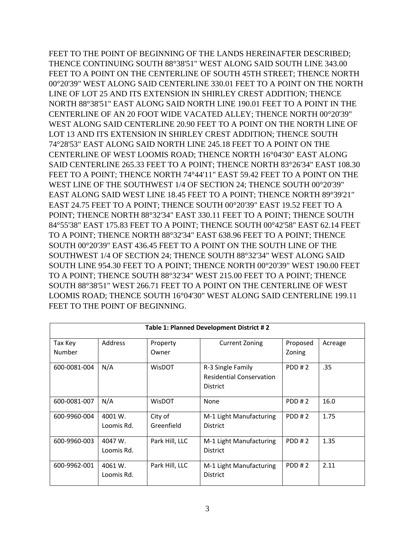FEET TO THE POINT OF BEGINNING OF THE LANDS HEREINAFTER DESCRIBED; THENCE CONTINUING SOUTH 88°38'51" WEST ALONG SAID SOUTH LINE 343.00 FEET TO A POINT ON THE CENTERLINE OF SOUTH 45TH STREET; THENCE NORTH 00°20'39" WEST ALONG SAID CENTERLINE 330.01 FEET TO A POINT ON THE NORTH LINE OF LOT 25 AND ITS EXTENSION IN SHIRLEY CREST ADDITION; THENCE NORTH 88°38'51" EAST ALONG SAID NORTH LINE 190.01 FEET TO A POINT IN THE CENTERLINE OF AN 20 FOOT WIDE VACATED ALLEY; THENCE NORTH 00°20'39" WEST ALONG SAID CENTERLINE 20.90 FEET TO A POINT ON THE NORTH LINE OF LOT 13 AND ITS EXTENSION IN SHIRLEY CREST ADDITION; THENCE SOUTH 74°28'53" EAST ALONG SAID NORTH LINE 245.18 FEET TO A POINT ON THE CENTERLINE OF WEST LOOMIS ROAD; THENCE NORTH 16°04'30" EAST ALONG SAID CENTERLINE 265.33 FEET TO A POINT; THENCE NORTH 83°26'34" EAST 108.30 FEET TO A POINT; THENCE NORTH 74°44'11" EAST 59.42 FEET TO A POINT ON THE WEST LINE OF THE SOUTHWEST 1/4 OF SECTION 24; THENCE SOUTH 00°20'39" EAST ALONG SAID WEST LINE 18.45 FEET TO A POINT; THENCE NORTH 89°39'21" EAST 24.75 FEET TO A POINT; THENCE SOUTH 00°20'39" EAST 19.52 FEET TO A POINT; THENCE NORTH 88°32'34" EAST 330.11 FEET TO A POINT; THENCE SOUTH 84°55'38" EAST 175.83 FEET TO A POINT; THENCE SOUTH 00°42'58" EAST 62.14 FEET TO A POINT; THENCE NORTH 88°32'34" EAST 638.96 FEET TO A POINT; THENCE SOUTH 00°20'39" EAST 436.45 FEET TO A POINT ON THE SOUTH LINE OF THE SOUTHWEST 1/4 OF SECTION 24; THENCE SOUTH 88°32'34" WEST ALONG SAID SOUTH LINE 954.30 FEET TO A POINT; THENCE NORTH 00°20'39" WEST 190.00 FEET TO A POINT; THENCE SOUTH 88°32'34" WEST 215.00 FEET TO A POINT; THENCE SOUTH 88°38'51" WEST 266.71 FEET TO A POINT ON THE CENTERLINE OF WEST LOOMIS ROAD; THENCE SOUTH 16°04'30" WEST ALONG SAID CENTERLINE 199.11 FEET TO THE POINT OF BEGINNING.

| Table 1: Planned Development District #2 |                       |                       |                                                                         |          |         |
|------------------------------------------|-----------------------|-----------------------|-------------------------------------------------------------------------|----------|---------|
| Tax Key                                  | Address               | Property              | <b>Current Zoning</b>                                                   | Proposed | Acreage |
| Number                                   |                       | Owner                 |                                                                         | Zoning   |         |
| 600-0081-004                             | N/A                   | <b>WisDOT</b>         | R-3 Single Family<br><b>Residential Conservation</b><br><b>District</b> | PDD#2    | .35     |
| 600-0081-007                             | N/A                   | WisDOT                | None                                                                    | PDD#2    | 16.0    |
| 600-9960-004                             | 4001 W.<br>Loomis Rd. | City of<br>Greenfield | M-1 Light Manufacturing<br><b>District</b>                              | PDD#2    | 1.75    |
| 600-9960-003                             | 4047 W.<br>Loomis Rd. | Park Hill, LLC        | M-1 Light Manufacturing<br><b>District</b>                              | PDD#2    | 1.35    |
| 600-9962-001                             | 4061 W.<br>Loomis Rd. | Park Hill, LLC        | M-1 Light Manufacturing<br><b>District</b>                              | PDD#2    | 2.11    |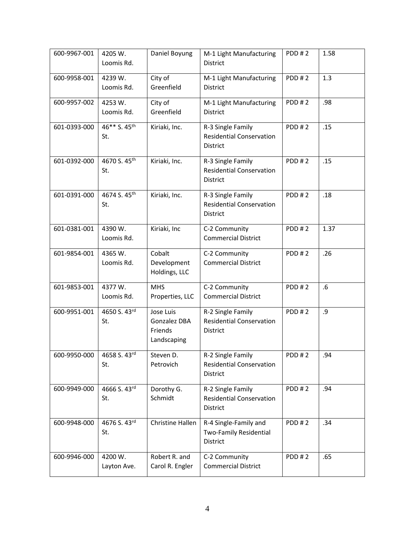| 600-9967-001 | 4205 W.<br>Loomis Rd.           | Daniel Boyung                                       | M-1 Light Manufacturing<br><b>District</b>                              | PDD#2        | 1.58 |
|--------------|---------------------------------|-----------------------------------------------------|-------------------------------------------------------------------------|--------------|------|
| 600-9958-001 | 4239 W.<br>Loomis Rd.           | City of<br>Greenfield                               | M-1 Light Manufacturing<br><b>District</b>                              | PDD#2        | 1.3  |
| 600-9957-002 | 4253 W.<br>Loomis Rd.           | City of<br>Greenfield                               | M-1 Light Manufacturing<br><b>District</b>                              | PDD#2        | .98  |
| 601-0393-000 | 46** S. 45 <sup>th</sup><br>St. | Kiriaki, Inc.                                       | R-3 Single Family<br><b>Residential Conservation</b><br>District        | PDD#2        | .15  |
| 601-0392-000 | 4670 S. 45 <sup>th</sup><br>St. | Kiriaki, Inc.                                       | R-3 Single Family<br><b>Residential Conservation</b><br><b>District</b> | PDD#2        | .15  |
| 601-0391-000 | 4674 S. 45th<br>St.             | Kiriaki, Inc.                                       | R-3 Single Family<br><b>Residential Conservation</b><br><b>District</b> | PDD#2        | .18  |
| 601-0381-001 | 4390 W.<br>Loomis Rd.           | Kiriaki, Inc                                        | C-2 Community<br><b>Commercial District</b>                             | <b>PDD#2</b> | 1.37 |
| 601-9854-001 | 4365 W.<br>Loomis Rd.           | Cobalt<br>Development<br>Holdings, LLC              | C-2 Community<br><b>Commercial District</b>                             | <b>PDD#2</b> | .26  |
| 601-9853-001 | 4377 W.<br>Loomis Rd.           | <b>MHS</b><br>Properties, LLC                       | C-2 Community<br><b>Commercial District</b>                             | PDD#2        | .6   |
| 600-9951-001 | 4650 S. 43rd<br>St.             | Jose Luis<br>Gonzalez DBA<br>Friends<br>Landscaping | R-2 Single Family<br><b>Residential Conservation</b><br>District        | PDD#2        | .9   |
| 600-9950-000 | 4658 S. 43rd<br>St.             | Steven D.<br>Petrovich                              | R-2 Single Family<br><b>Residential Conservation</b><br>District        | PDD#2        | .94  |
| 600-9949-000 | 4666 S. 43rd<br>St.             | Dorothy G.<br>Schmidt                               | R-2 Single Family<br><b>Residential Conservation</b><br>District        | PDD#2        | .94  |
| 600-9948-000 | 4676 S. 43rd<br>St.             | Christine Hallen                                    | R-4 Single-Family and<br>Two-Family Residential<br>District             | PDD#2        | .34  |
| 600-9946-000 | 4200 W.<br>Layton Ave.          | Robert R. and<br>Carol R. Engler                    | C-2 Community<br><b>Commercial District</b>                             | PDD#2        | .65  |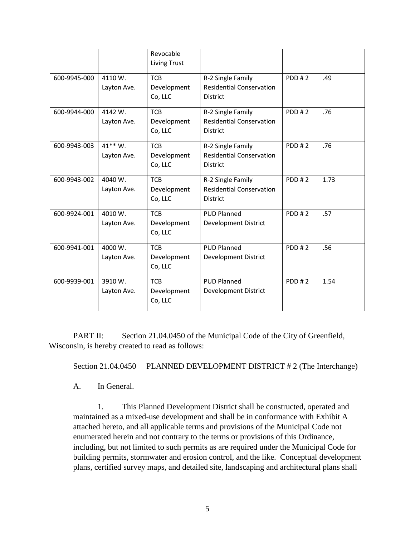|              |                         | Revocable<br>Living Trust            |                                                                         |              |      |
|--------------|-------------------------|--------------------------------------|-------------------------------------------------------------------------|--------------|------|
| 600-9945-000 | 4110 W.<br>Layton Ave.  | <b>TCB</b><br>Development<br>Co, LLC | R-2 Single Family<br><b>Residential Conservation</b><br><b>District</b> | PDD#2        | .49  |
| 600-9944-000 | 4142 W.<br>Layton Ave.  | <b>TCB</b><br>Development<br>Co, LLC | R-2 Single Family<br><b>Residential Conservation</b><br><b>District</b> | PDD#2        | .76  |
| 600-9943-003 | $41**W.$<br>Layton Ave. | <b>TCB</b><br>Development<br>Co, LLC | R-2 Single Family<br><b>Residential Conservation</b><br><b>District</b> | PDD#2        | .76  |
| 600-9943-002 | 4040 W.<br>Layton Ave.  | <b>TCB</b><br>Development<br>Co, LLC | R-2 Single Family<br><b>Residential Conservation</b><br><b>District</b> | <b>PDD#2</b> | 1.73 |
| 600-9924-001 | 4010 W.<br>Layton Ave.  | <b>TCB</b><br>Development<br>Co, LLC | <b>PUD Planned</b><br>Development District                              | PDD#2        | .57  |
| 600-9941-001 | 4000 W.<br>Layton Ave.  | <b>TCB</b><br>Development<br>Co, LLC | <b>PUD Planned</b><br>Development District                              | PDD#2        | .56  |
| 600-9939-001 | 3910 W.<br>Layton Ave.  | <b>TCB</b><br>Development<br>Co, LLC | <b>PUD Planned</b><br>Development District                              | PDD#2        | 1.54 |

PART II: Section 21.04.0450 of the Municipal Code of the City of Greenfield, Wisconsin, is hereby created to read as follows:

Section 21.04.0450 PLANNED DEVELOPMENT DISTRICT # 2 (The Interchange)

A. In General.

1. This Planned Development District shall be constructed, operated and maintained as a mixed-use development and shall be in conformance with Exhibit A attached hereto, and all applicable terms and provisions of the Municipal Code not enumerated herein and not contrary to the terms or provisions of this Ordinance, including, but not limited to such permits as are required under the Municipal Code for building permits, stormwater and erosion control, and the like. Conceptual development plans, certified survey maps, and detailed site, landscaping and architectural plans shall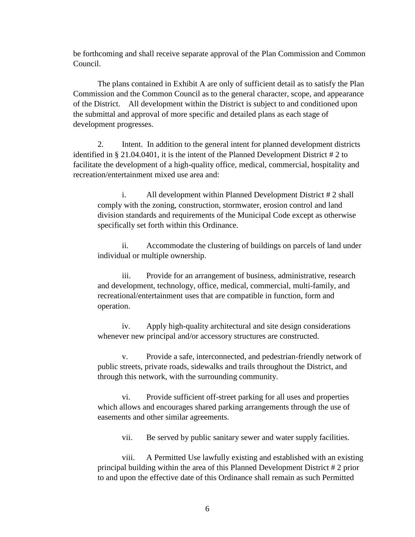be forthcoming and shall receive separate approval of the Plan Commission and Common Council.

The plans contained in Exhibit A are only of sufficient detail as to satisfy the Plan Commission and the Common Council as to the general character, scope, and appearance of the District. All development within the District is subject to and conditioned upon the submittal and approval of more specific and detailed plans as each stage of development progresses.

2. Intent. In addition to the general intent for planned development districts identified in § 21.04.0401, it is the intent of the Planned Development District # 2 to facilitate the development of a high-quality office, medical, commercial, hospitality and recreation/entertainment mixed use area and:

i. All development within Planned Development District # 2 shall comply with the zoning, construction, stormwater, erosion control and land division standards and requirements of the Municipal Code except as otherwise specifically set forth within this Ordinance.

ii. Accommodate the clustering of buildings on parcels of land under individual or multiple ownership.

iii. Provide for an arrangement of business, administrative, research and development, technology, office, medical, commercial, multi-family, and recreational/entertainment uses that are compatible in function, form and operation.

iv. Apply high-quality architectural and site design considerations whenever new principal and/or accessory structures are constructed.

v. Provide a safe, interconnected, and pedestrian-friendly network of public streets, private roads, sidewalks and trails throughout the District, and through this network, with the surrounding community.

vi. Provide sufficient off-street parking for all uses and properties which allows and encourages shared parking arrangements through the use of easements and other similar agreements.

vii. Be served by public sanitary sewer and water supply facilities.

viii. A Permitted Use lawfully existing and established with an existing principal building within the area of this Planned Development District # 2 prior to and upon the effective date of this Ordinance shall remain as such Permitted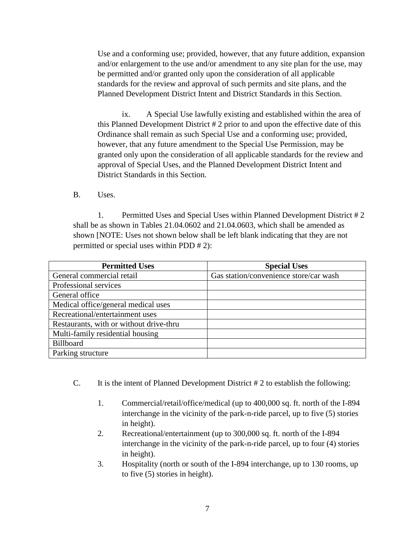Use and a conforming use; provided, however, that any future addition, expansion and/or enlargement to the use and/or amendment to any site plan for the use, may be permitted and/or granted only upon the consideration of all applicable standards for the review and approval of such permits and site plans, and the Planned Development District Intent and District Standards in this Section.

ix. A Special Use lawfully existing and established within the area of this Planned Development District # 2 prior to and upon the effective date of this Ordinance shall remain as such Special Use and a conforming use; provided, however, that any future amendment to the Special Use Permission, may be granted only upon the consideration of all applicable standards for the review and approval of Special Uses, and the Planned Development District Intent and District Standards in this Section.

B. Uses.

1. Permitted Uses and Special Uses within Planned Development District # 2 shall be as shown in Tables 21.04.0602 and 21.04.0603, which shall be amended as shown [NOTE: Uses not shown below shall be left blank indicating that they are not permitted or special uses within PDD # 2):

| <b>Permitted Uses</b>                   | <b>Special Uses</b>                    |
|-----------------------------------------|----------------------------------------|
| General commercial retail               | Gas station/convenience store/car wash |
| Professional services                   |                                        |
| General office                          |                                        |
| Medical office/general medical uses     |                                        |
| Recreational/entertainment uses         |                                        |
| Restaurants, with or without drive-thru |                                        |
| Multi-family residential housing        |                                        |
| Billboard                               |                                        |
| Parking structure                       |                                        |

- C. It is the intent of Planned Development District # 2 to establish the following:
	- 1. Commercial/retail/office/medical (up to 400,000 sq. ft. north of the I-894 interchange in the vicinity of the park-n-ride parcel, up to five (5) stories in height).
	- 2. Recreational/entertainment (up to 300,000 sq. ft. north of the I-894 interchange in the vicinity of the park-n-ride parcel, up to four (4) stories in height).
	- 3. Hospitality (north or south of the I-894 interchange, up to 130 rooms, up to five (5) stories in height).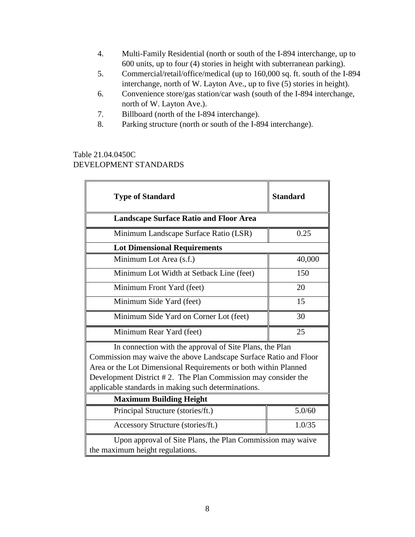- 4. Multi-Family Residential (north or south of the I-894 interchange, up to 600 units, up to four (4) stories in height with subterranean parking).
- 5. Commercial/retail/office/medical (up to 160,000 sq. ft. south of the I-894 interchange, north of W. Layton Ave., up to five (5) stories in height).
- 6. Convenience store/gas station/car wash (south of the I-894 interchange, north of W. Layton Ave.).
- 7. Billboard (north of the I-894 interchange).
- 8. Parking structure (north or south of the I-894 interchange).

## Table 21.04.0450C DEVELOPMENT STANDARDS

| <b>Type of Standard</b>                                                                                                                                                                                                                                                                                                | <b>Standard</b> |  |  |  |
|------------------------------------------------------------------------------------------------------------------------------------------------------------------------------------------------------------------------------------------------------------------------------------------------------------------------|-----------------|--|--|--|
| <b>Landscape Surface Ratio and Floor Area</b>                                                                                                                                                                                                                                                                          |                 |  |  |  |
| Minimum Landscape Surface Ratio (LSR)                                                                                                                                                                                                                                                                                  | 0.25            |  |  |  |
| <b>Lot Dimensional Requirements</b>                                                                                                                                                                                                                                                                                    |                 |  |  |  |
| Minimum Lot Area (s.f.)                                                                                                                                                                                                                                                                                                | 40,000          |  |  |  |
| Minimum Lot Width at Setback Line (feet)                                                                                                                                                                                                                                                                               | 150             |  |  |  |
| Minimum Front Yard (feet)                                                                                                                                                                                                                                                                                              | 20              |  |  |  |
| Minimum Side Yard (feet)                                                                                                                                                                                                                                                                                               | 15              |  |  |  |
| Minimum Side Yard on Corner Lot (feet)                                                                                                                                                                                                                                                                                 | 30              |  |  |  |
| Minimum Rear Yard (feet)                                                                                                                                                                                                                                                                                               | 25              |  |  |  |
| In connection with the approval of Site Plans, the Plan<br>Commission may waive the above Landscape Surface Ratio and Floor<br>Area or the Lot Dimensional Requirements or both within Planned<br>Development District #2. The Plan Commission may consider the<br>applicable standards in making such determinations. |                 |  |  |  |
| <b>Maximum Building Height</b>                                                                                                                                                                                                                                                                                         |                 |  |  |  |
| Principal Structure (stories/ft.)                                                                                                                                                                                                                                                                                      | 5.0/60          |  |  |  |
| Accessory Structure (stories/ft.)                                                                                                                                                                                                                                                                                      | 1.0/35          |  |  |  |
| Upon approval of Site Plans, the Plan Commission may waive<br>the maximum height regulations.                                                                                                                                                                                                                          |                 |  |  |  |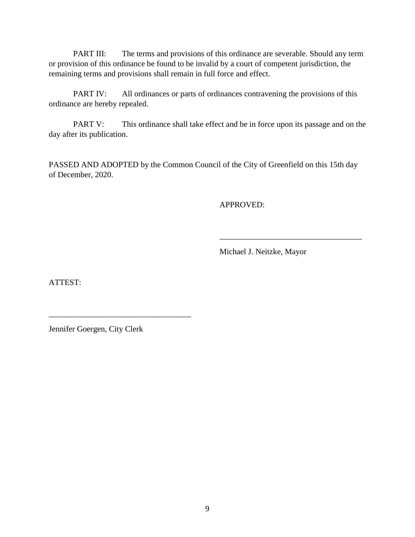PART III: The terms and provisions of this ordinance are severable. Should any term or provision of this ordinance be found to be invalid by a court of competent jurisdiction, the remaining terms and provisions shall remain in full force and effect.

PART IV: All ordinances or parts of ordinances contravening the provisions of this ordinance are hereby repealed.

PART V: This ordinance shall take effect and be in force upon its passage and on the day after its publication.

PASSED AND ADOPTED by the Common Council of the City of Greenfield on this 15th day of December, 2020.

APPROVED:

Michael J. Neitzke, Mayor

\_\_\_\_\_\_\_\_\_\_\_\_\_\_\_\_\_\_\_\_\_\_\_\_\_\_\_\_\_\_\_\_\_\_\_

ATTEST:

Jennifer Goergen, City Clerk

\_\_\_\_\_\_\_\_\_\_\_\_\_\_\_\_\_\_\_\_\_\_\_\_\_\_\_\_\_\_\_\_\_\_\_